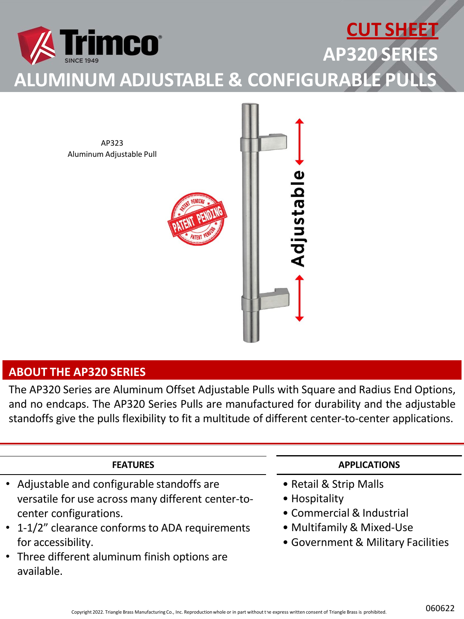

AP323 Aluminum Adjustable Pull



### **ABOUT THE AP320 SERIES**

The AP320 Series are Aluminum Offset Adjustable Pulls with Square and Radius End Options, and no endcaps. The AP320 Series Pulls are manufactured for durability and the adjustable standoffs give the pulls flexibility to fit a multitude of different center-to-center applications.

#### **FEATURES**

- Adjustable and configurable standoffs are versatile for use across many different center-tocenter configurations.
- 1-1/2" clearance conforms to ADA requirements for accessibility.
- Three different aluminum finish options are available.

#### **APPLICATIONS**

- Retail & Strip Malls
- Hospitality
- Commercial & Industrial
- Multifamily & Mixed-Use
- Government & Military Facilities